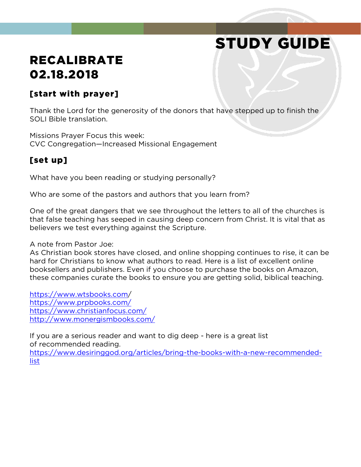# STUDY GUIDE

## RECALIBRATE 02.18.2018

### [start with prayer]

Thank the Lord for the generosity of the donors that have stepped up to finish the SOLI Bible translation.

Missions Prayer Focus this week: CVC Congregation—Increased Missional Engagement

## [set up]

What have you been reading or studying personally?

Who are some of the pastors and authors that you learn from?

One of the great dangers that we see throughout the letters to all of the churches is that false teaching has seeped in causing deep concern from Christ. It is vital that as believers we test everything against the Scripture.

#### A note from Pastor Joe:

As Christian book stores have closed, and online shopping continues to rise, it can be hard for Christians to know what authors to read. Here is a list of excellent online booksellers and publishers. Even if you choose to purchase the books on Amazon, these companies curate the books to ensure you are getting solid, biblical teaching.

<https://www.wtsbooks.com/> <https://www.prpbooks.com/> <https://www.christianfocus.com/> <http://www.monergismbooks.com/>

If you are a serious reader and want to dig deep - here is a great list of recommended reading. [https://www.desiringgod.org/articles/bring-the-books-with-a-new-recommended](https://www.desiringgod.org/articles/bring-the-books-with-a-new-recommended-list)[list](https://www.desiringgod.org/articles/bring-the-books-with-a-new-recommended-list)